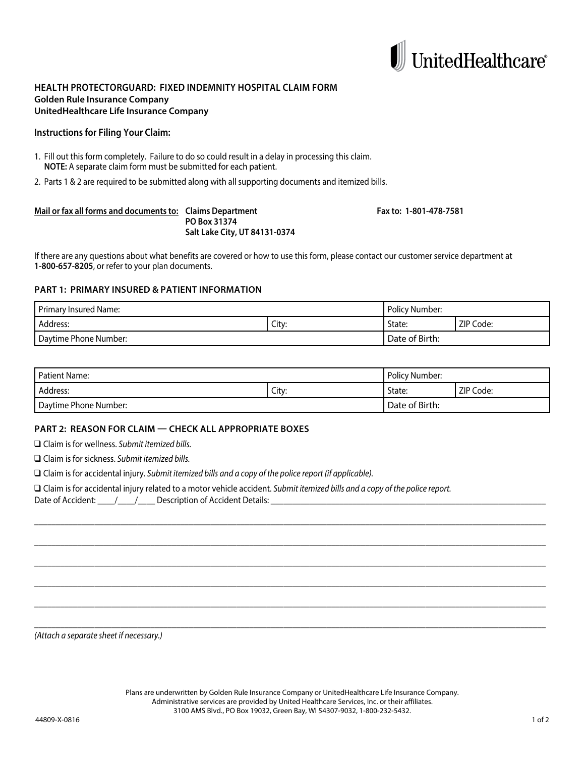

## **HEALTH PROTECTORGUARD: FIXED INDEMNITY HOSPITAL CLAIM FORM Golden Rule Insurance Company UnitedHealthcare Life Insurance Company**

### **Instructions for Filing Your Claim:**

- 1. Fill out this form completely. Failure to do so could result in a delay in processing this claim. **NOTE:** A separate claim form must be submitted for each patient.
- 2. Parts 1 & 2 are required to be submitted along with all supporting documents and itemized bills.

#### **Mail or fax all forms and documents to: Claims Department Fax to: 1-801-478-7581 PO Box 31374 Salt Lake City, UT 84131-0374**

If there are any questions about what benefits are covered or how to use this form, please contact our customer service department at **1-800-657-8205**, or refer to your plan documents.

# **PART 1: PRIMARY INSURED & PATIENT INFORMATION**

| Primary Insured Name: |       | Policy Number: |           |
|-----------------------|-------|----------------|-----------|
| Address:              | Citv: | State:         | ZIP Code: |
| Daytime Phone Number: |       | Date of Birth: |           |

| <b>Patient Name:</b>  |       | <b>Policy Number:</b> |           |
|-----------------------|-------|-----------------------|-----------|
| Address:              | City: | State:                | ZIP Code: |
| Daytime Phone Number: |       | Date of Birth:        |           |

\_\_\_\_\_\_\_\_\_\_\_\_\_\_\_\_\_\_\_\_\_\_\_\_\_\_\_\_\_\_\_\_\_\_\_\_\_\_\_\_\_\_\_\_\_\_\_\_\_\_\_\_\_\_\_\_\_\_\_\_\_\_\_\_\_\_\_\_\_\_\_\_\_\_\_\_\_\_\_\_\_\_\_\_\_\_\_\_\_\_\_\_\_\_\_\_\_\_\_\_\_\_\_\_\_\_\_\_\_\_\_\_\_\_\_\_\_\_\_

\_\_\_\_\_\_\_\_\_\_\_\_\_\_\_\_\_\_\_\_\_\_\_\_\_\_\_\_\_\_\_\_\_\_\_\_\_\_\_\_\_\_\_\_\_\_\_\_\_\_\_\_\_\_\_\_\_\_\_\_\_\_\_\_\_\_\_\_\_\_\_\_\_\_\_\_\_\_\_\_\_\_\_\_\_\_\_\_\_\_\_\_\_\_\_\_\_\_\_\_\_\_\_\_\_\_\_\_\_\_\_\_\_\_\_\_\_\_\_

\_\_\_\_\_\_\_\_\_\_\_\_\_\_\_\_\_\_\_\_\_\_\_\_\_\_\_\_\_\_\_\_\_\_\_\_\_\_\_\_\_\_\_\_\_\_\_\_\_\_\_\_\_\_\_\_\_\_\_\_\_\_\_\_\_\_\_\_\_\_\_\_\_\_\_\_\_\_\_\_\_\_\_\_\_\_\_\_\_\_\_\_\_\_\_\_\_\_\_\_\_\_\_\_\_\_\_\_\_\_\_\_\_\_\_\_\_\_\_

\_\_\_\_\_\_\_\_\_\_\_\_\_\_\_\_\_\_\_\_\_\_\_\_\_\_\_\_\_\_\_\_\_\_\_\_\_\_\_\_\_\_\_\_\_\_\_\_\_\_\_\_\_\_\_\_\_\_\_\_\_\_\_\_\_\_\_\_\_\_\_\_\_\_\_\_\_\_\_\_\_\_\_\_\_\_\_\_\_\_\_\_\_\_\_\_\_\_\_\_\_\_\_\_\_\_\_\_\_\_\_\_\_\_\_\_\_\_\_

\_\_\_\_\_\_\_\_\_\_\_\_\_\_\_\_\_\_\_\_\_\_\_\_\_\_\_\_\_\_\_\_\_\_\_\_\_\_\_\_\_\_\_\_\_\_\_\_\_\_\_\_\_\_\_\_\_\_\_\_\_\_\_\_\_\_\_\_\_\_\_\_\_\_\_\_\_\_\_\_\_\_\_\_\_\_\_\_\_\_\_\_\_\_\_\_\_\_\_\_\_\_\_\_\_\_\_\_\_\_\_\_\_\_\_\_\_\_\_

\_\_\_\_\_\_\_\_\_\_\_\_\_\_\_\_\_\_\_\_\_\_\_\_\_\_\_\_\_\_\_\_\_\_\_\_\_\_\_\_\_\_\_\_\_\_\_\_\_\_\_\_\_\_\_\_\_\_\_\_\_\_\_\_\_\_\_\_\_\_\_\_\_\_\_\_\_\_\_\_\_\_\_\_\_\_\_\_\_\_\_\_\_\_\_\_\_\_\_\_\_\_\_\_\_\_\_\_\_\_\_\_\_\_\_\_\_\_\_

## **PART 2: REASON FOR CLAIM — CHECK ALL APPROPRIATE BOXES**

q Claim is for wellness. *Submit itemized bills.*

q Claim is for sickness. *Submit itemized bills.*

q Claim is for accidental injury. *Submit itemized bills and a copy of the police report (if applicable).*

q Claim is for accidental injury related to a motor vehicle accident. *Submit itemized bills and a copy of the police report.*

Date of Accident:  $\frac{1}{2}$  /  $\frac{1}{2}$  Description of Accident Details:

*(Attach a separate sheet if necessary.)*